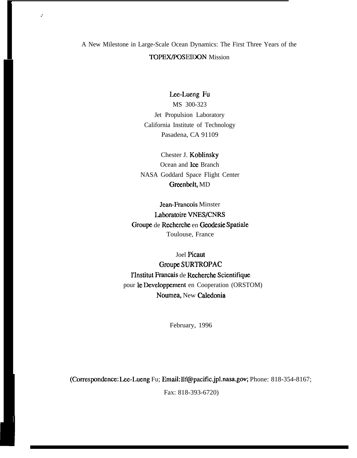# A New Milestone in Large-Scale Ocean Dynamics: The First Three Years of the TOPEX/POSEIDON Mission

,.

## Lee-Lueng Fu

MS 300-323 Jet Propulsion Laboratory California Institute of Technology Pasadena, CA 91109

Chester J. Koblinsky Ocean and Ice Branch NASA Goddard Space Flight Center Greenbelt, MD

Jean-Francois Minster Laboratoire VNESJCNRS Groupe de Recherche en Geodesie Spatiale Toulouse, France

Joel Pieaut Groupe SURTROPAC l'Institut Francais de Recherehe Scientifique pour le Developpement en Cooperation (ORSTOM) Noumea, New Caledonia

February, 1996

(Correspon&nce: Lee-Lueng Fu; Email: llf@pacific.jpl.nasa.gov; Phone: 818-354-8167;

Fax: 818-393-6720)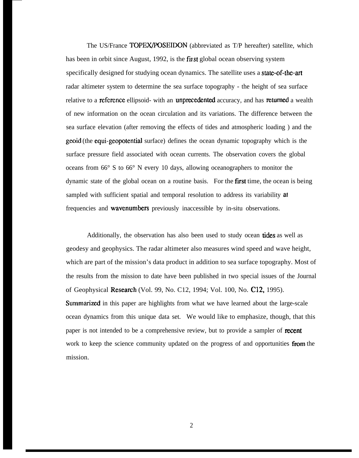The US/France **TOPEX/POSEIDON** (abbreviated as T/P hereafter) satellite, which has been in orbit since August, 1992, is the first global ocean observing system specifically designed for studying ocean dynamics. The satellite uses a state-of-the-art radar altimeter system to determine the sea surface topography - the height of sea surface relative to a reference ellipsoid- with an unprecedented accuracy, and has returned a wealth of new information on the ocean circulation and its variations. The difference between the sea surface elevation (after removing the effects of tides and atmospheric loading ) and the geoid (the equi-geopotential surface) defines the ocean dynamic topography which is the surface pressure field associated with ocean currents. The observation covers the global oceans from 66° S to 66° N every 10 days, allowing oceanographers to monitor the dynamic state of the global ocean on a routine basis. For the first time, the ocean is being sampled with sufficient spatial and temporal resolution to address its variability at frequencies and wavenumbers previously inaccessible by in-situ observations.

Additionally, the observation has also been used to study ocean tides as well as geodesy and geophysics. The radar altimeter also measures wind speed and wave height, which are part of the mission's data product in addition to sea surface topography. Most of the results from the mission to date have been published in two special issues of the Journal of Geophysical Reseamh (Vol. 99, No. C12, 1994; Vol. 100, No. C12, 1995). Summarized in this paper are highlights from what we have learned about the large-scale ocean dynamics from this unique data set. We would like to emphasize, though, that this paper is not intended to be a comprehensive review, but to provide a sampler of recent work to keep the science community updated on the progress of and opportunities from the mission.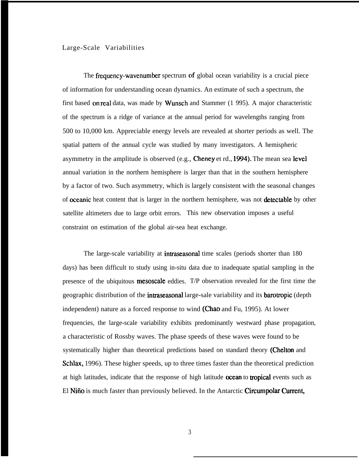## Large-Scale Variabilities

The frequency-wavenumber spectrum of global ocean variability is a crucial piece of information for understanding ocean dynamics. An estimate of such a spectrum, the first based on real data, was made by Wunsch and Stammer  $(1\ 995)$ . A major characteristic of the spectrum is a ridge of variance at the annual period for wavelengths ranging from 500 to 10,000 km. Appreciable energy levels are revealed at shorter periods as well. The spatial pattern of the annual cycle was studied by many investigators. A hemispheric asymmetry in the amplitude is observed (e.g., Cheney et rd., 1994). The mean sea level annual variation in the northern hemisphere is larger than that in the southern hemisphere by a factor of two. Such asymmetry, which is largely consistent with the seasonal changes of **oceanic** heat content that is larger in the northern hemisphere, was not **detectable** by other satellite altimeters due to large orbit errors. This new observation imposes a useful constraint on estimation of the global air-sea heat exchange.

The large-scale variability at **intraseasonal** time scales (periods shorter than 180 days) has been difficult to study using in-situ data due to inadequate spatial sampling in the presence of the ubiquitous mesoscale eddies. T/P observation revealed for the first time the geographic distribution of the intraseasonal large-sale variability and its barotropic (depth independent) nature as a forced response to wind (Chao and Fu, 1995). At lower frequencies, the large-scale variability exhibits predominantly westward phase propagation, a characteristic of Rossby waves. The phase speeds of these waves were found to be systematically higher than theoretical predictions based on standard theory (Chelton and Schlax, 1996). These higher speeds, up to three times faster than the theoretical prediction at high latitudes, indicate that the response of high latitude ocean to tropical events such as El Niño is much faster than previously believed. In the Antarctic Circumpolar Current,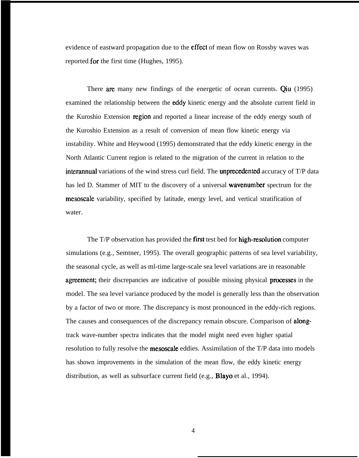evidence of eastward propagation due to the effect of mean flow on Rossby waves was reported for the first time (Hughes, 1995).

There are many new findings of the energetic of ocean currents. Qiu (1995) examined the relationship between the eddy kinetic energy and the absolute current field in the Kuroshio Extension region and reported a linear increase of the eddy energy south of the Kuroshio Extension as a result of conversion of mean flow kinetic energy via instability. White and Heywood (1995) demonstrated that the eddy kinetic energy in the North Atlantic Current region is related to the migration of the current in relation to the interannual variations of the wind stress curl field. The unprecedented accuracy of T/P data has led D. Stammer of MIT to the discovery of a universal **wavenumber** spectrum for the mesoscale variability, specified by latitude, energy level, and vertical stratification of water.

The T/P observation has provided the **first** test bed for **high-resolution** computer simulations (e.g., Semtner, 1995). The overall geographic patterns of sea level variability, the seasonal cycle, as well as ml-time large-scale sea level variations are in reasonable agreement; their discrepancies are indicative of possible missing physical processes in the model. The sea level variance produced by the model is generally less than the observation by a factor of two or more. The discrepancy is most pronounced in the eddy-rich regions. The causes and consequences of the discrepancy remain obscure. Comparison of alongtrack wave-number spectra indicates that the model might need even higher spatial resolution to fully resolve the **mesoscale** eddies. Assimilation of the T/P data into models has shown improvements in the simulation of the mean flow, the eddy kinetic energy distribution, as well as subsurface current field (e.g., **Blayo** et al., 1994).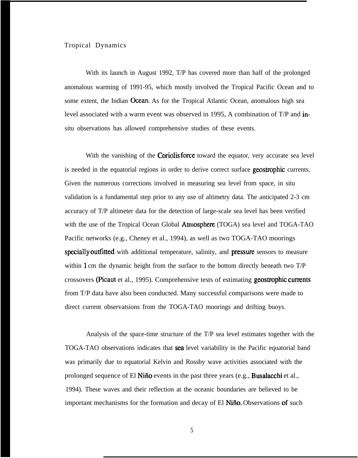### Tropical Dynamics

With its launch in August 1992, T/P has covered more than half of the prolonged anomalous warming of 1991-95, which mostly involved the Tropical Pacific Ocean and to some extent, the Indian **Ocean**. As for the Tropical Atlantic Ocean, anomalous high sea level associated with a warm event was observed in 1995, A combination of T/P and insitu observations has allowed comprehensive studies of these events.

With the vanishing of the **Coriolis force** toward the equator, very accurate sea level is needed in the equatorial regions in order to derive correct surface geostrophic currents. Given the numerous corrections involved in measuring sea level from space, in situ validation is a fundamental step prior to any use of altimetry data. The anticipated 2-3 cm accuracy of T/P altimeter data for the detection of large-scale sea level has been verified with the use of the Tropical Ocean Global Atmosphere (TOGA) sea level and TOGA-TAO Pacific networks (e.g., Cheney et al., 1994), as well as two TOGA-TAO moorings specially outfitted with additional temperature, salinity, and pressure sensors to measure within 1 cm the dynamic height from the surface to the bottom directly beneath two T/P crossovers (Picaut et al., 1995). Comprehensive tests of estimating geostrophic currents from T/P data have also been conducted. Many successful comparisons were made to direct current observatsions from the TOGA-TAO moorings and drifting buoys.

Analysis of the space-time structure of the T/P sea level estimates together with the TOGA-TAO observations indicates that sea level variability in the Pacific equatorial band was primarily due to equatorial Kelvin and Rossby wave activities associated with the prolonged sequence of El Niño events in the past three years (e.g., Busalacchi et al., 1994). These waves and their reflection at the oceanic boundaries are believed to be important mechanisms for the formation and decay of El Niño. Observations of such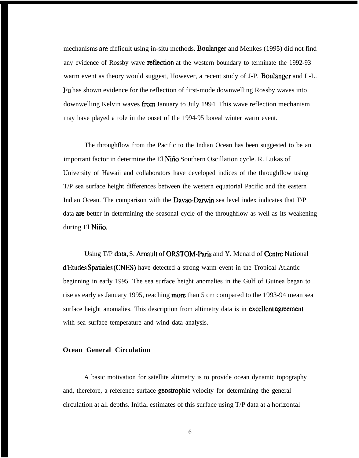mechanisms are difficult using in-situ methods. Boulanger and Menkes (1995) did not find any evidence of Rossby wave **reflection** at the western boundary to terminate the 1992-93 warm event as theory would suggest, However, a recent study of J-P. Boulanger and L-L. Fu has shown evidence for the reflection of first-mode downwelling Rossby waves into downwelling Kelvin waves from January to July 1994. This wave reflection mechanism may have played a role in the onset of the 1994-95 boreal winter warm event.

The throughflow from the Pacific to the Indian Ocean has been suggested to be an important factor in determine the El Niño Southern Oscillation cycle. R. Lukas of University of Hawaii and collaborators have developed indices of the throughflow using T/P sea surface height differences between the western equatorial Pacific and the eastern Indian Ocean. The comparison with the **Davao-Darwin** sea level index indicates that  $T/P$ data are better in determining the seasonal cycle of the throughflow as well as its weakening during El Niño.

Using T/P data, S. Arnault of ORSTOM-Paris and Y. Menard of Centre National d'Etudes Spatiales (CNES) have detected a strong warm event in the Tropical Atlantic beginning in early 1995. The sea surface height anomalies in the Gulf of Guinea began to rise as early as January 1995, reaching **more** than 5 cm compared to the 1993-94 mean sea surface height anomalies. This description from altimetry data is in **excellent agreement** with sea surface temperature and wind data analysis.

## **Ocean General Circulation**

A basic motivation for satellite altimetry is to provide ocean dynamic topography and, therefore, a reference surface **geostrophic** velocity for determining the general circulation at all depths. Initial estimates of this surface using T/P data at a horizontal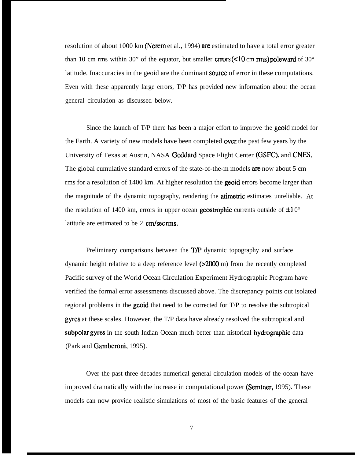resolution of about 1000 km (Nerem et al., 1994) are estimated to have a total error greater than 10 cm rms within 30" of the equator, but smaller **errors (<10 cm rms) poleward** of 30 $^{\circ}$ latitude. Inaccuracies in the geoid are the dominant source of error in these computations. Even with these apparently large errors, T/P has provided new information about the ocean general circulation as discussed below.

Since the launch of T/P there has been a major effort to improve the **geoid** model for the Earth. A variety of new models have been completed **over** the past few years by the University of Texas at Austin, NASA Goddatd Space Flight Center (GSFC), and CNES. The global cumulative standard errors of the state-of-the-m models **are** now about 5 cm rms for a resolution of 1400 km. At higher resolution the **geoid** errors become larger than the magnitude of the dynamic topography, rendering the **atimetric** estimates unreliable. At the resolution of 1400 km, errors in upper ocean **geostrophic** currents outside of  $\pm 10^{\circ}$ latitude are estimated to be  $2 \text{ cm/sec}$  rms.

Preliminary comparisons between the  $T/P$  dynamic topography and surface dynamic height relative to a deep reference level  $(>2000 \text{ m})$  from the recently completed Pacific survey of the World Ocean Circulation Experiment Hydrographic Program have verified the formal error assessments discussed above. The discrepancy points out isolated regional problems in the **geoid** that need to be corrected for T/P to resolve the subtropical gyres at these scales. However, the T/P data have already resolved the subtropical and subpolar gyres in the south Indian Ocean much better than historical hydrographic data (Park and Gamberoni, 1995).

Over the past three decades numerical general circulation models of the ocean have improved dramatically with the increase in computational power (Semtner, 1995). These models can now provide realistic simulations of most of the basic features of the general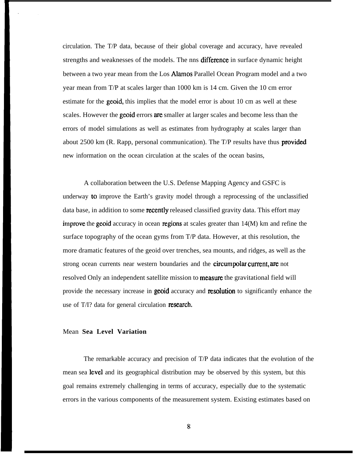circulation. The T/P data, because of their global coverage and accuracy, have revealed strengths and weaknesses of the models. The nns difference in surface dynamic height between a two year mean from the Los Alamos Parallel Ocean Program model and a two year mean from T/P at scales larger than 1000 km is 14 cm. Given the 10 cm error estimate for the **geoid**, this implies that the model error is about 10 cm as well at these scales. However the geoid errors are smaller at larger scales and become less than the errors of model simulations as well as estimates from hydrography at scales larger than about  $2500 \text{ km}$  (R. Rapp, personal communication). The T/P results have thus **provided** new information on the ocean circulation at the scales of the ocean basins,

A collaboration between the U.S. Defense Mapping Agency and GSFC is underway to improve the Earth's gravity model through a reprocessing of the unclassified data base, in addition to some recently released classified gravity data. This effort may improve the geoid accuracy in ocean regions at scales greater than  $14(M)$  km and refine the surface topography of the ocean gyms from T/P data. However, at this resolution, the more dramatic features of the geoid over trenches, sea mounts, and ridges, as well as the strong ocean currents near western boundaries and the **circumpolar current, are** not resolved Only an independent satellite mission to **measure** the gravitational field will provide the necessary increase in **geoid** accuracy and **resolution** to significantly enhance the use of  $T/I$ ? data for general circulation research.

#### Mean **Sea Level Variation**

The remarkable accuracy and precision of T/P data indicates that the evolution of the mean sea level and its geographical distribution may be observed by this system, but this goal remains extremely challenging in terms of accuracy, especially due to the systematic errors in the various components of the measurement system. Existing estimates based on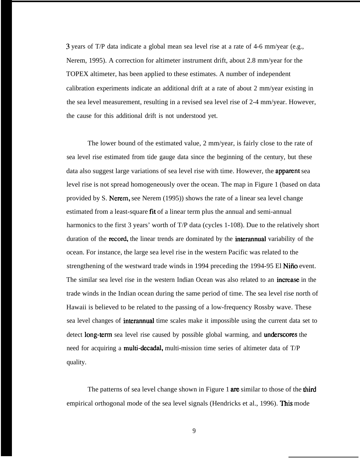3 years of T/P data indicate a global mean sea level rise at a rate of 4-6 mm/year (e.g., Nerem, 1995). A correction for altimeter instrument drift, about 2.8 mm/year for the TOPEX altimeter, has been applied to these estimates. A number of independent calibration experiments indicate an additional drift at a rate of about 2 mm/year existing in the sea level measurement, resulting in a revised sea level rise of 2-4 mm/year. However, the cause for this additional drift is not understood yet.

The lower bound of the estimated value, 2 mm/year, is fairly close to the rate of sea level rise estimated from tide gauge data since the beginning of the century, but these data also suggest large variations of sea level rise with time. However, the **apparent** sea level rise is not spread homogeneously over the ocean. The map in Figure 1 (based on data provided by S. Nemm, see Nerem (1995)) shows the rate of a linear sea level change estimated from a least-square fit of a linear term plus the annual and semi-annual harmonics to the first 3 years' worth of T/P data (cycles 1-108). Due to the relatively short duration of the **record**, the linear trends are dominated by the **interannual** variability of the ocean. For instance, the large sea level rise in the western Pacific was related to the strengthening of the westward trade winds in 1994 preceding the 1994-95 El Niño event. The similar sea level rise in the western Indian Ocean was also related to an **increase** in the trade winds in the Indian ocean during the same period of time. The sea level rise north of Hawaii is believed to be related to the passing of a low-frequency Rossby wave. These sea level changes of interannual time scales make it impossible using the current data set to detect long-term sea level rise caused by possible global warming, and underscores the need for acquiring a multi-decadal, multi-mission time series of altimeter data of T/P quality.

The patterns of sea level change shown in Figure 1 are similar to those of the third empirical orthogonal mode of the sea level signals (Hendricks et al., 1996). This mode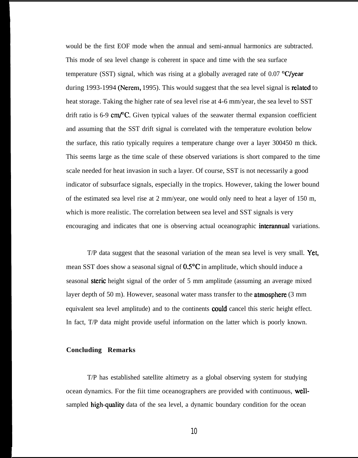would be the first EOF mode when the annual and semi-annual harmonics are subtracted. This mode of sea level change is coherent in space and time with the sea surface temperature (SST) signal, which was rising at a globally averaged rate of  $0.07$  °C/year during 1993-1994 (Nerem, 1995). This would suggest that the sea level signal is related to heat storage. Taking the higher rate of sea level rise at 4-6 mm/year, the sea level to SST drift ratio is  $6-9$  cm/ $\degree$ C. Given typical values of the seawater thermal expansion coefficient and assuming that the SST drift signal is correlated with the temperature evolution below the surface, this ratio typically requires a temperature change over a layer 300450 m thick. This seems large as the time scale of these observed variations is short compared to the time scale needed for heat invasion in such a layer. Of course, SST is not necessarily a good indicator of subsurface signals, especially in the tropics. However, taking the lower bound of the estimated sea level rise at 2 mm/year, one would only need to heat a layer of 150 m, which is more realistic. The correlation between sea level and SST signals is very encouraging and indicates that one is observing actual oceanographic interannual variations.

 $T/P$  data suggest that the seasonal variation of the mean sea level is very small. Yet, mean SST does show a seasonal signal of 0.5°C in amplitude, which should induce a seasonal steric height signal of the order of 5 mm amplitude (assuming an average mixed layer depth of 50 m). However, seasonal water mass transfer to the **atmosphere**  $(3 \text{ mm})$ equivalent sea level amplitude) and to the continents could cancel this steric height effect. In fact, T/P data might provide useful information on the latter which is poorly known.

## **Concluding Remarks**

T/P has established satellite altimetry as a global observing system for studying ocean dynamics. For the fiit time oceanographers are provided with continuous, wellsampled high-quality data of the sea level, a dynamic boundary condition for the ocean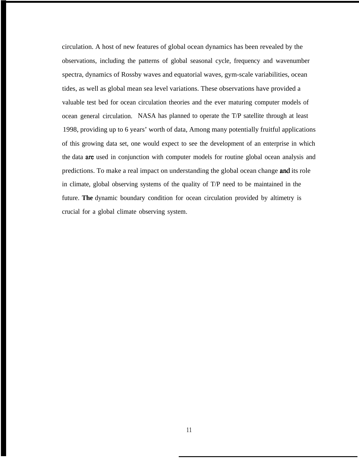circulation. A host of new features of global ocean dynamics has been revealed by the observations, including the patterns of global seasonal cycle, frequency and wavenumber spectra, dynamics of Rossby waves and equatorial waves, gym-scale variabilities, ocean tides, as well as global mean sea level variations. These observations have provided a valuable test bed for ocean circulation theories and the ever maturing computer models of ocean general circulation. NASA has planned to operate the T/P satellite through at least 1998, providing up to 6 years' worth of data, Among many potentially fruitful applications of this growing data set, one would expect to see the development of an enterprise in which the data are used in conjunction with computer models for routine global ocean analysis and predictions. To make a real impact on understanding the global ocean change **and** its role in climate, global observing systems of the quality of T/P need to be maintained in the future. **The** dynamic boundary condition for ocean circulation provided by altimetry is crucial for a global climate observing system.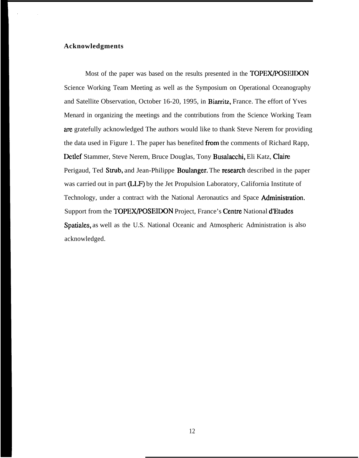## **Acknowledgments**

Most of the paper was based on the results presented in the **TOPEX/POSEIDON** Science Working Team Meeting as well as the Symposium on Operational Oceanography and Satellite Observation, October 16-20, 1995, in Biarritz, France. The effort of Yves Menard in organizing the meetings and the contributions from the Science Working Team are gratefully acknowledged The authors would like to thank Steve Nerem for providing the data used in Figure 1. The paper has benefited from the comments of Richard Rapp, Detlef Stammer, Steve Nerem, Bruce Douglas, Tony Busalacchi, Eli Katz, Claim Perigaud, Ted Strub, and Jean-Philippe Boulanger. The research described in the paper was carried out in part (LLF) by the Jet Propulsion Laboratory, California Institute of Technology, under a contract with the National Aeronautics and Space Administration. Support from the TOPEX/POSEIDON Project, France's Centre National d'Etudes Spatiales, as well as the U.S. National Oceanic and Atmospheric Administration is also acknowledged.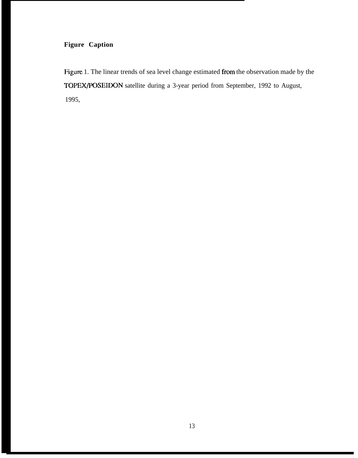## **Figure Caption**

Figure 1. The linear trends of sea level change estimated from the observation made by the TOPEX/POSEIDON satellite during a 3-year period from September, 1992 to August, 1995,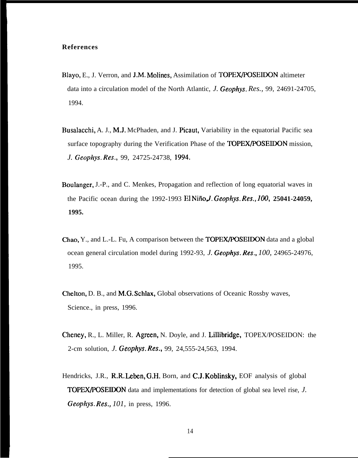## **References**

- Blayo, E., J. Verron, and J.M. Molines, Assimilation of TOPEX/POSEIDON altimeter data into a circulation model of the North Atlantic, *J. Geophys. Res.,* 99, 24691-24705, 1994.
- Busalacchi, A. J., M.J. McPhaden, and J. Picaut, Variability in the equatorial Pacific sea surface topography during the Verification Phase of the TOPEX/POSEIDON mission, *J. Geophys. Res.,* 99, 24725-24738, 1994.
- Boulanger, J.-P., and C. Menkes, Propagation and reflection of long equatorial waves in the Pacific ocean during the 1992-1993 El Niño, *J. Geophys. Res.*, 100, 25041-24059, **1995.**
- Chao, Y., and L.-L. Fu, A comparison between the TOPEWPOSEIDON data and a global ocean general circulation model during 1992-93, *J. Geophys. Res., 100,* 24965-24976, 1995.
- Chelton, D. B., and M.G. Schlax, Global observations of Oceanic Rossby waves, Science., in press, 1996.
- Cheney, R., L. Miller, R. Agreen, N. Doyle, and J. Lillibridge, TOPEX/POSEIDON: the 2-cm solution, *J. Geophys. Res.,* 99, 24,555-24,563, 1994.
- Hendricks, J.R., R.R. Leben, G.H. Born, and C.J. Koblinsky, EOF analysis of global TOPEX/POSEIDON data and implementations for detection of global sea level rise, *J. Geophys. Res., 101,* in press, 1996.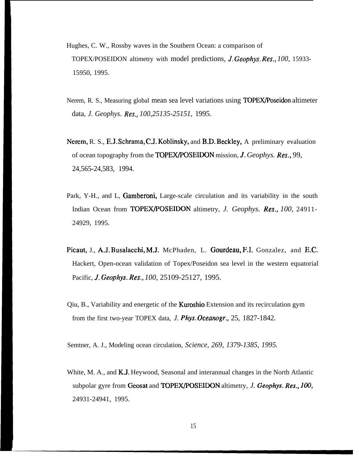- Hughes, C. W., Rossby waves in the Southern Ocean: a comparison of TOPEX/POSEIDON altimetry with model predictions, *J. Geophys. Res., 100,* 15933- 15950, 1995.
- Nerem, R. S., Measuring global mean sea level variations using TOPEX/Poseidon altimeter data, *J. Geophys. Res., 100,25135-25151,* 1995.
- Nerem, R. S., E.J. Schrama, C.J. Koblinsky, and B.D. Beckley, A preliminary evaluation of ocean topography from the TOPEWPOSEIDON mission, *J. Geophys. Res.,* 99, 24,565-24,583, 1994.
- Park, Y-H., and L, Gamberoni, Large-scale circulation and its variability in the south Indian Ocean from TOPEX/POSEIDON altimetry, *J. Geophys. Res., 100,* 24911- 24929, 1995.
- Picaut, J., A.J. Busalacchi, M,J. McPhaden, L. Gourdeau, F.1, Gonzalez, and E,C. Hackert, Open-ocean validation of Topex/Poseidon sea level in the western equatorial Pacific, 1. *Geophys. Res., 100,* 25109-25127, 1995.
- Qiu, B., Variability and energetic of the Kwoshio Extension and its recirculation gym from the first two-year TOPEX data, *J. Phys. Oceanogr.,* 25, 1827-1842.

Semtner, A. J., Modeling ocean circulation, *Science, 269, 1379-1385, 1995.*

White, M. A., and K.J. Heywood, Seasonal and interannual changes in the North Atlantic subpolar gyre from Geosat and TOPEWPOSEIDON altimetry, *J. Geophys. Res., 100,* 24931-24941, 1995.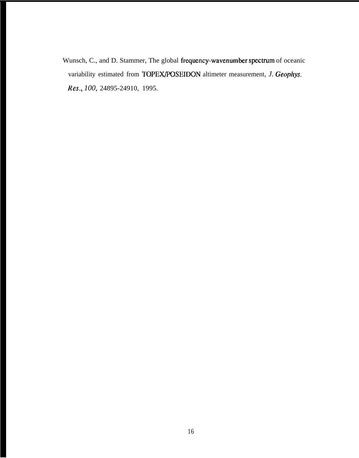Wunsch, C., and D. Stammer, The global frequency-wavenumber spectrum of oceanic variability estimated from TOPEX/POSEIDON altimeter measurement, *J. Geophys. Res., 100,* 24895-24910, 1995.